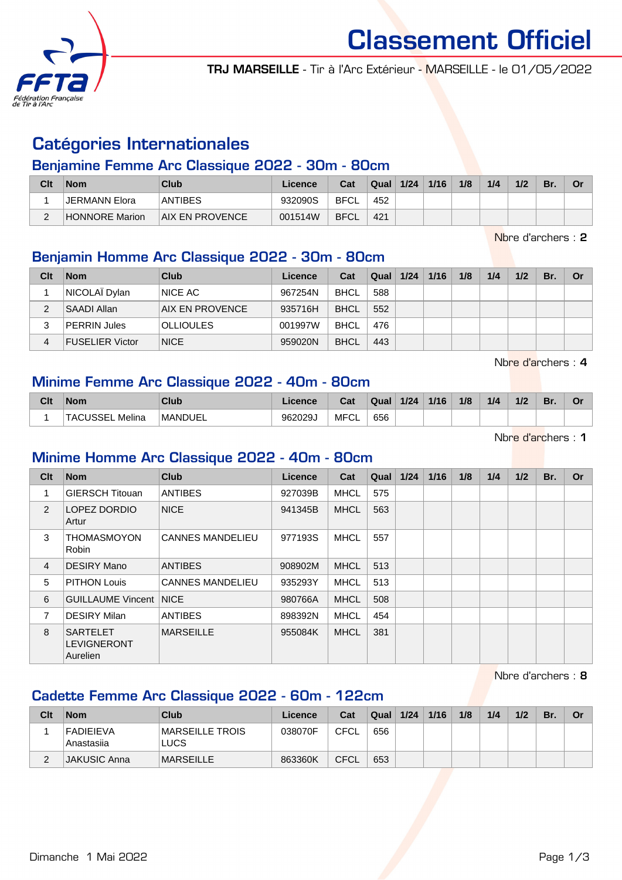

Classement Officiel

TRJ MARSEILLE - Tir à l'Arc Extérieur - MARSEILLE - le 01/05/2022

# Catégories Internationales

#### Benjamine Femme Arc Classique 2022 - 30m - 80cm

| Clt | <b>Nom</b>            | Club                   | Licence | Cat         | Qual | 1/24 | 1/16 | 1/8 | 1/4 | 1/2 | Br. | Or |
|-----|-----------------------|------------------------|---------|-------------|------|------|------|-----|-----|-----|-----|----|
|     | JERMANN Elora         | <b>ANTIBES</b>         | 932090S | <b>BFCL</b> | 452  |      |      |     |     |     |     |    |
| C   | <b>HONNORE Marion</b> | <b>AIX EN PROVENCE</b> | 001514W | <b>BFCL</b> | 421  |      |      |     |     |     |     |    |

Nbre d'archers : 2

#### Benjamin Homme Arc Classique 2022 - 30m - 80cm

| Clt | <b>Nom</b>             | Club             | Licence | Cat         | Qual | 1/24 | 1/16 | 1/8 | 1/4 | 1/2 | Br. | <b>Or</b> |
|-----|------------------------|------------------|---------|-------------|------|------|------|-----|-----|-----|-----|-----------|
|     | NICOLAÏ Dylan          | NICE AC          | 967254N | <b>BHCL</b> | 588  |      |      |     |     |     |     |           |
|     | <b>SAADI Allan</b>     | AIX EN PROVENCE  | 935716H | <b>BHCL</b> | 552  |      |      |     |     |     |     |           |
|     | <b>PERRIN Jules</b>    | <b>OLLIOULES</b> | 001997W | <b>BHCL</b> | 476  |      |      |     |     |     |     |           |
| 4   | <b>FUSELIER Victor</b> | <b>NICE</b>      | 959020N | <b>BHCL</b> | 443  |      |      |     |     |     |     |           |

Nbre d'archers : 4

#### Minime Femme Arc Classique 2022 - 40m - 80cm

| Clt | <b>Nom</b>                | Club           | Licence | ◠fi<br>val  | Qual | 1/24 | 1/16 | 1/8 | 1/4 | 1/2 | Br. | OГ |
|-----|---------------------------|----------------|---------|-------------|------|------|------|-----|-----|-----|-----|----|
|     | Melina<br><b>TACUSSEL</b> | <b>MANDUEL</b> | 962029J | <b>MFCL</b> | 656  |      |      |     |     |     |     |    |

Nbre d'archers : 1

#### Minime Homme Arc Classique 2022 - 40m - 80cm

| Clt            | <b>Nom</b>                                 | Club                    | Licence | Cat         | Qual | 1/24 | $1/16$ | 1/8 | 1/4 | 1/2 | Br. | <b>Or</b> |
|----------------|--------------------------------------------|-------------------------|---------|-------------|------|------|--------|-----|-----|-----|-----|-----------|
| 1              | <b>GIERSCH Titouan</b>                     | <b>ANTIBES</b>          | 927039B | <b>MHCL</b> | 575  |      |        |     |     |     |     |           |
| $\mathcal{P}$  | LOPEZ DORDIO<br>Artur                      | <b>NICE</b>             | 941345B | <b>MHCL</b> | 563  |      |        |     |     |     |     |           |
| 3              | <b>THOMASMOYON</b><br>Robin                | <b>CANNES MANDELIEU</b> | 977193S | <b>MHCL</b> | 557  |      |        |     |     |     |     |           |
| $\overline{4}$ | DESIRY Mano                                | <b>ANTIBES</b>          | 908902M | <b>MHCL</b> | 513  |      |        |     |     |     |     |           |
| 5              | <b>PITHON Louis</b>                        | <b>CANNES MANDELIEU</b> | 935293Y | <b>MHCL</b> | 513  |      |        |     |     |     |     |           |
| 6              | <b>GUILLAUME Vincent NICE</b>              |                         | 980766A | <b>MHCL</b> | 508  |      |        |     |     |     |     |           |
| 7              | <b>DESIRY Milan</b>                        | <b>ANTIBES</b>          | 898392N | <b>MHCL</b> | 454  |      |        |     |     |     |     |           |
| 8              | <b>SARTELET</b><br>LEVIGNERONT<br>Aurelien | <b>MARSEILLE</b>        | 955084K | <b>MHCL</b> | 381  |      |        |     |     |     |     |           |

Nbre d'archers : 8

### Cadette Femme Arc Classique 2022 - 60m - 122cm

| Clt | <b>Nom</b>                     | Club                            | Licence | Cat  | Qual | 1/24 | 1/16 | 1/8 | 1/4 | 1/2 | Br. | . Or |
|-----|--------------------------------|---------------------------------|---------|------|------|------|------|-----|-----|-----|-----|------|
|     | <b>FADIEIEVA</b><br>Anastasija | <b>IMARSEILLE TROIS</b><br>LUCS | 038070F | CFCL | 656  |      |      |     |     |     |     |      |
|     | <b>JAKUSIC Anna</b>            | <b>IMARSEILLE</b>               | 863360K | CFCL | 653  |      |      |     |     |     |     |      |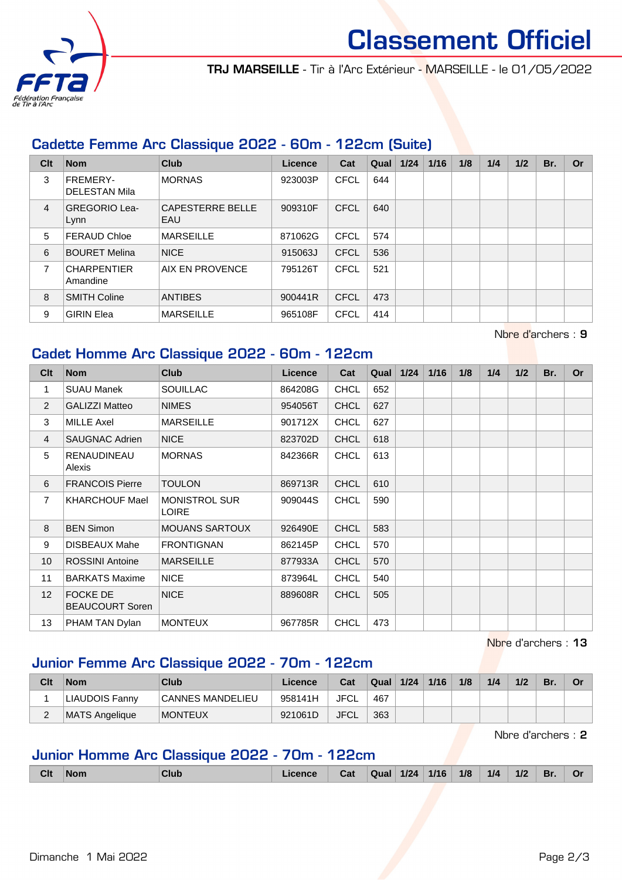

# Classement Officiel

TRJ MARSEILLE - Tir à l'Arc Extérieur - MARSEILLE - le 01/05/2022

### Cadette Femme Arc Classique 2022 - 60m - 122cm (Suite)

| Clt            | <b>Nom</b>                       | Club                           | <b>Licence</b> | Cat         | Qual | $1/24$ | 1/16 | 1/8 | 1/4 | 1/2 | Br. | Or |
|----------------|----------------------------------|--------------------------------|----------------|-------------|------|--------|------|-----|-----|-----|-----|----|
| 3              | FREMERY-<br><b>DELESTAN Mila</b> | <b>MORNAS</b>                  | 923003P        | <b>CFCL</b> | 644  |        |      |     |     |     |     |    |
| $\overline{4}$ | <b>GREGORIO Lea-</b><br>Lynn     | <b>CAPESTERRE BELLE</b><br>EAU | 909310F        | <b>CFCL</b> | 640  |        |      |     |     |     |     |    |
| 5              | <b>FERAUD Chloe</b>              | <b>MARSEILLE</b>               | 871062G        | <b>CFCL</b> | 574  |        |      |     |     |     |     |    |
| 6              | <b>BOURET Melina</b>             | <b>NICE</b>                    | 915063J        | <b>CFCL</b> | 536  |        |      |     |     |     |     |    |
| 7              | <b>CHARPENTIER</b><br>Amandine   | AIX EN PROVENCE                | 795126T        | <b>CFCL</b> | 521  |        |      |     |     |     |     |    |
| 8              | <b>SMITH Coline</b>              | <b>ANTIBES</b>                 | 900441R        | <b>CFCL</b> | 473  |        |      |     |     |     |     |    |
| 9              | <b>GIRIN Elea</b>                | <b>MARSEILLE</b>               | 965108F        | <b>CFCL</b> | 414  |        |      |     |     |     |     |    |

## Cadet Homme Arc Classique 2022 - 60m - 122cm

| Clt             | <b>Nom</b>                                | <b>Club</b>                          | <b>Licence</b> | Cat         | Qual | $1/24$ | $1/16$ | 1/8 | 1/4 | 1/2 | Br. | Or |
|-----------------|-------------------------------------------|--------------------------------------|----------------|-------------|------|--------|--------|-----|-----|-----|-----|----|
| 1               | <b>SUAU Manek</b>                         | <b>SOUILLAC</b>                      | 864208G        | <b>CHCL</b> | 652  |        |        |     |     |     |     |    |
| 2               | <b>GALIZZI Matteo</b>                     | <b>NIMES</b>                         | 954056T        | <b>CHCL</b> | 627  |        |        |     |     |     |     |    |
| 3               | <b>MILLE Axel</b>                         | <b>MARSEILLE</b>                     | 901712X        | <b>CHCL</b> | 627  |        |        |     |     |     |     |    |
| $\overline{4}$  | <b>SAUGNAC Adrien</b>                     | <b>NICE</b>                          | 823702D        | <b>CHCL</b> | 618  |        |        |     |     |     |     |    |
| 5               | <b>RENAUDINEAU</b><br>Alexis              | <b>MORNAS</b>                        | 842366R        | <b>CHCL</b> | 613  |        |        |     |     |     |     |    |
| 6               | <b>FRANCOIS Pierre</b>                    | <b>TOULON</b>                        | 869713R        | <b>CHCL</b> | 610  |        |        |     |     |     |     |    |
| $\overline{7}$  | <b>KHARCHOUF Mael</b>                     | <b>MONISTROL SUR</b><br><b>LOIRE</b> | 909044S        | <b>CHCL</b> | 590  |        |        |     |     |     |     |    |
| 8               | <b>BEN Simon</b>                          | <b>MOUANS SARTOUX</b>                | 926490E        | <b>CHCL</b> | 583  |        |        |     |     |     |     |    |
| 9               | <b>DISBEAUX Mahe</b>                      | <b>FRONTIGNAN</b>                    | 862145P        | <b>CHCL</b> | 570  |        |        |     |     |     |     |    |
| 10 <sup>°</sup> | <b>ROSSINI Antoine</b>                    | <b>MARSEILLE</b>                     | 877933A        | <b>CHCL</b> | 570  |        |        |     |     |     |     |    |
| 11              | <b>BARKATS Maxime</b>                     | <b>NICE</b>                          | 873964L        | <b>CHCL</b> | 540  |        |        |     |     |     |     |    |
| 12              | <b>FOCKE DE</b><br><b>BEAUCOURT Soren</b> | <b>NICE</b>                          | 889608R        | <b>CHCL</b> | 505  |        |        |     |     |     |     |    |
| 13              | PHAM TAN Dylan                            | <b>MONTEUX</b>                       | 967785R        | <b>CHCL</b> | 473  |        |        |     |     |     |     |    |

Nbre d'archers : 13

Nbre d'archers : 9

#### Junior Femme Arc Classique 2022 - 70m - 122cm

| Clt    | <b>Nom</b>            | Club             | Licence | Cat         | Qual | 1/24 | 1/16 | 1/8 | 1/4 | 1/2 | Br. | . Or |
|--------|-----------------------|------------------|---------|-------------|------|------|------|-----|-----|-----|-----|------|
|        | <b>LIAUDOIS Fanny</b> | CANNES MANDELIEU | 958141H | JFCL        | 467  |      |      |     |     |     |     |      |
| ⌒<br>- | <b>MATS Angelique</b> | <b>MONTEUX</b>   | 921061D | <b>JFCL</b> | 363  |      |      |     |     |     |     |      |

Nbre d'archers : 2

## Junior Homme Arc Classique 2022 - 70m - 122cm

| Clt | Non. | nun | 1 - ^<br>Ja | Qual | $1/24$ | 1/16 | 1/8 | 1/4 | 1/2 | B <sub>I</sub> | O |
|-----|------|-----|-------------|------|--------|------|-----|-----|-----|----------------|---|
|     |      |     |             |      |        |      |     |     |     |                |   |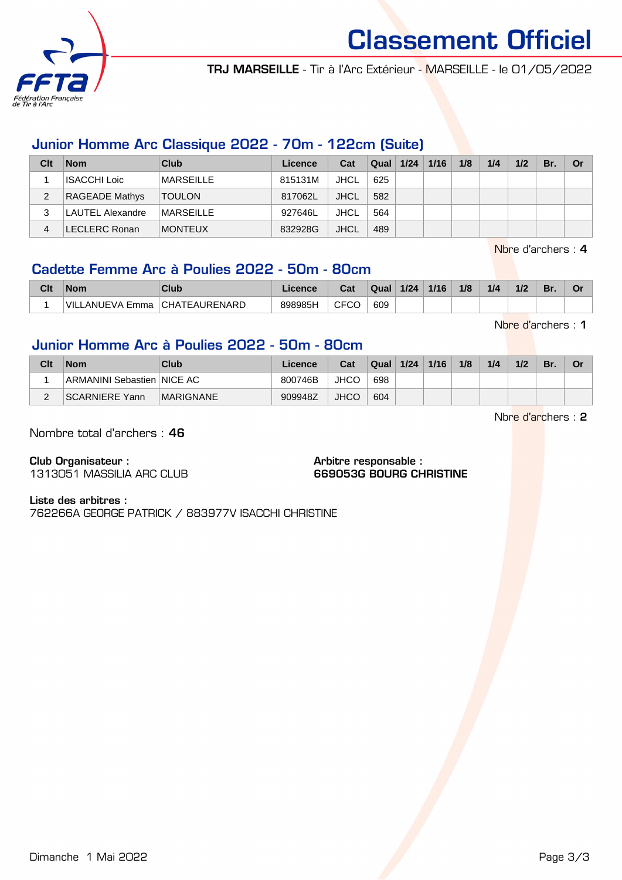

Classement Officiel

TRJ MARSEILLE - Tir à l'Arc Extérieur - MARSEILLE - le 01/05/2022

#### Junior Homme Arc Classique 2022 - 70m - 122cm (Suite)

| Clt | <b>Nom</b>            | Club             | Licence | Cat         | <b>Qual 1/24</b> | 1/16 | 1/8 | 1/4 | 1/2 | Br. | Or |
|-----|-----------------------|------------------|---------|-------------|------------------|------|-----|-----|-----|-----|----|
|     | <b>ISACCHI Loic</b>   | MARSEILLE        | 815131M | JHCL        | 625              |      |     |     |     |     |    |
| 2   | <b>RAGEADE Mathys</b> | <b>TOULON</b>    | 817062L | <b>JHCL</b> | 582              |      |     |     |     |     |    |
|     | LAUTEL Alexandre      | <b>MARSEILLE</b> | 927646L | JHCL        | 564              |      |     |     |     |     |    |
| 4   | LECLERC Ronan         | <b>MONTEUX</b>   | 832928G | <b>JHCL</b> | 489              |      |     |     |     |     |    |

Nbre d'archers : 4

### Cadette Femme Arc à Poulies 2022 - 50m - 80cm

| Clt | <b>Nom</b>          | Club                 | .icence | Cat  | Qual | 1/24 | 1/16 | 1/8 | 1/4 | 1/2 | Br. |  |
|-----|---------------------|----------------------|---------|------|------|------|------|-----|-----|-----|-----|--|
|     | VIL<br>∟ANUEVA Emma | <b>CHATEAURENARD</b> | 898985H | CFCC | 609  |      |      |     |     |     |     |  |

Nbre d'archers : 1

#### Junior Homme Arc à Poulies 2022 - 50m - 80cm

| Clt | <b>Nom</b>                 | Club             | Licence | Cat         | <b>Qual</b> | 1/24 | 1/16 | 1/8 | 1/4 | 1/2 | Br. | Or |
|-----|----------------------------|------------------|---------|-------------|-------------|------|------|-----|-----|-----|-----|----|
|     | ARMANINI Sebastien NICE AC |                  | 800746B | <b>JHCO</b> | 698         |      |      |     |     |     |     |    |
| ີ   | SCARNIERE Yann             | <b>MARIGNANE</b> | 909948Z | <b>JHCO</b> | 604         |      |      |     |     |     |     |    |

Nbre d'archers : 2

Nombre total d'archers : 46

Club Organisateur :

1313051 MASSILIA ARC CLUB

Arbitre responsable : 669053G BOURG CHRISTINE

#### Liste des arbitres :

762266A GEORGE PATRICK / 883977V ISACCHI CHRISTINE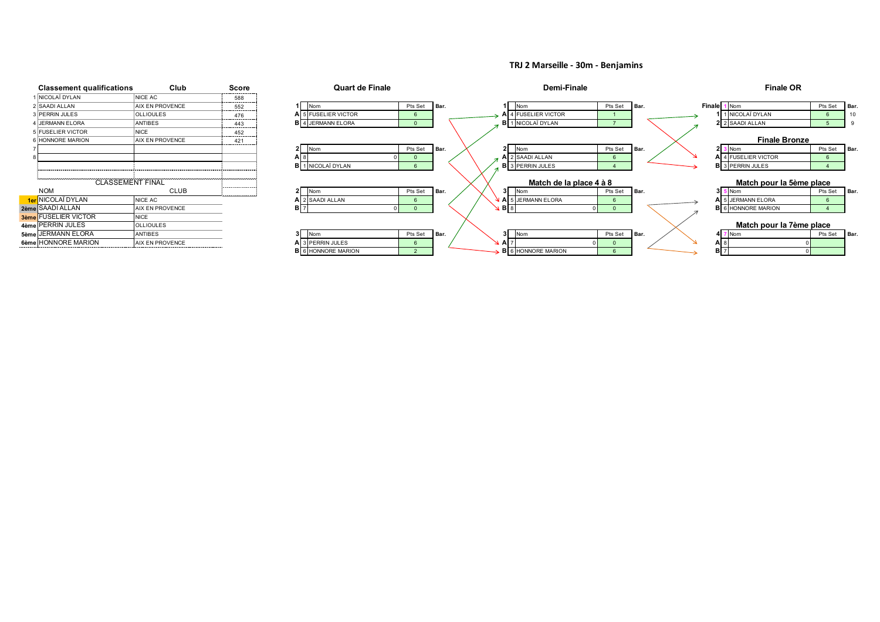#### **TRJ 2 Marseille - 30m - Benjamins**

|      | <b>Classement qualifications</b> | Club                   | Score |
|------|----------------------------------|------------------------|-------|
|      | NICOLAÏ DYLAN                    | <b>NICE AC</b>         | 588   |
|      | SAADI ALLAN                      | <b>AIX EN PROVENCE</b> | 552   |
|      | <b>PERRIN JULES</b>              | <b>OLLIOULES</b>       | 476   |
|      | <b>JERMANN ELORA</b>             | <b>ANTIBES</b>         | 443   |
| 5    | <b>FUSELIER VICTOR</b>           | <b>NICE</b>            | 452   |
|      | <b>HONNORE MARION</b>            | <b>AIX EN PROVENCE</b> | 421   |
|      |                                  |                        |       |
| 8    |                                  |                        |       |
|      |                                  |                        |       |
|      |                                  |                        |       |
|      | <b>CLASSEMENT FINAL</b>          |                        |       |
|      | <b>NOM</b>                       | <b>CLUB</b>            |       |
|      | 1er NICOLAÏ DYLAN                | NICE AC                |       |
| 2ème | SAADI ALLAN                      | <b>AIX EN PROVENCE</b> |       |
|      | <b>3ème FUSELIER VICTOR</b>      | <b>NICE</b>            |       |
|      | 4ème PERRIN JULES                | <b>OLLIOULES</b>       |       |
| 5ème | <b>JERMANN ELORA</b>             | <b>ANTIBES</b>         |       |
| 6ème | <b>HONNORE MARION</b>            | <b>AIX EN PROVENCE</b> |       |

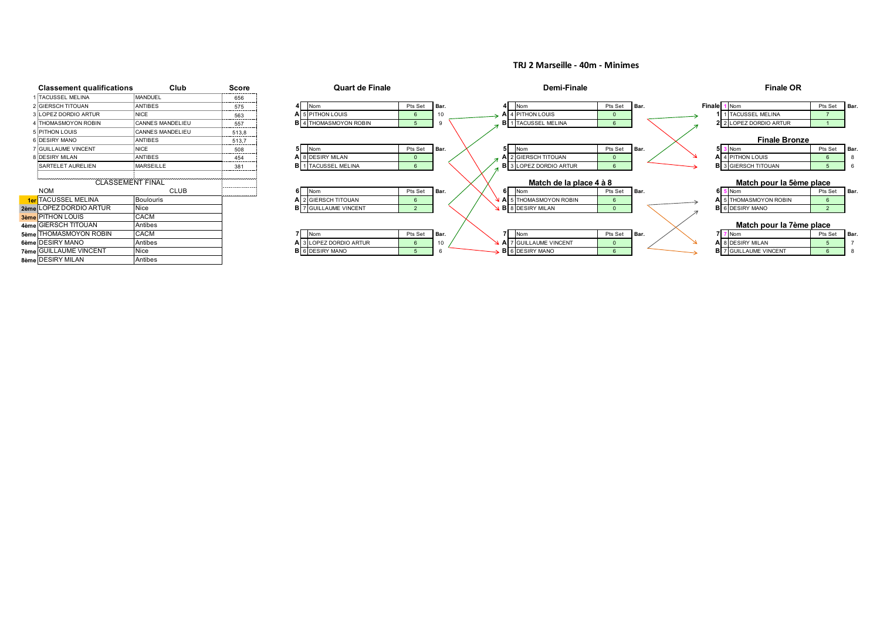#### **TRJ 2 Marseille - 40m - Minimes**

| <b>Classement qualifications</b> | Club                    | Score                       | <b>Quart de Finale</b>       |         |       |  | Demi-Finale                   |         |        |               | <b>Finale OR</b>         |         |      |
|----------------------------------|-------------------------|-----------------------------|------------------------------|---------|-------|--|-------------------------------|---------|--------|---------------|--------------------------|---------|------|
| 1 TACUSSEL MELINA                | MANDUEL                 | 656                         |                              |         |       |  |                               |         |        |               |                          |         |      |
| 2 GIERSCH TITOUAN                | <b>ANTIBES</b>          | 575                         | Nom                          | Pts Set | Bar.  |  | Nom                           | Pts Set | Bar.   | <b>Finale</b> | <b>Nom</b>               | Pts Set | Bar. |
| 3 LOPEZ DORDIO ARTUR             | <b>NICE</b>             | 563                         | A 5 PITHON LOUIS             |         |       |  | A 4 PITHON LOUIS              |         |        |               | <b>TACUSSEL MELINA</b>   |         |      |
| 4 THOMASMOYON ROBIN              | <b>CANNES MANDELIEU</b> | 557                         | <b>B</b> 4 THOMASMOYON ROBIN |         |       |  | <b>B</b> 1 TACUSSEL MELINA    |         |        |               | 2 2 LOPEZ DORDIO ARTUR   |         |      |
| 5 PITHON LOUIS                   | <b>CANNES MANDELIEU</b> | 513,8                       |                              |         |       |  |                               |         |        |               |                          |         |      |
| 6 DESIRY MANO                    | <b>ANTIBES</b>          | 513,7                       |                              |         |       |  |                               |         |        |               | <b>Finale Bronze</b>     |         |      |
| 7 GUILLAUME VINCENT              | NICE                    | 508                         | Nom                          | Pts Set | I Bar |  | Nom                           | Pts Set | I Bar. |               | Nom                      | Pts Set | Bar. |
| 8 DESIRY MILAN                   | <b>ANTIBES</b>          | 454                         | A 8 DESIRY MILAN             |         |       |  | A 2 GIERSCH TITOUAN           |         |        |               | A 4 PITHON LOUIS         |         |      |
| SARTELET AURELIEN                | <b>MARSEILLE</b>        | 381                         | <b>B</b> 1 TACUSSEL MELINA   |         |       |  | <b>B</b> 3 LOPEZ DORDIO ARTUR |         |        |               | 3 GIERSCH TITOUAN        |         |      |
|                                  |                         |                             |                              |         |       |  |                               |         |        |               |                          |         |      |
| <b>CLASSEMENT FINAL</b>          |                         | والمحامل المتحدث والمتحدثات |                              |         |       |  | Match de la place 4 à 8       |         |        |               | Match pour la 5ème place |         |      |
| <b>NOM</b>                       | <b>CLUB</b>             |                             | Nom                          | Pts Set | Bar.  |  | Nom                           | Pts Set | Bar.   |               | Nom                      | Pts Set | Bar. |
| <b>1er</b> TACUSSEL MELINA       | <b>Boulouris</b>        | .                           | A 2 GIERSCH TITOUAN          |         |       |  | A 5 THOMASMOYON ROBIN         |         |        |               | 5 THOMASMOYON ROBIN      |         |      |
| 2ème LOPEZ DORDIO ARTUR          | Nice                    |                             | <b>B</b> 7 GUILLAUME VINCENT |         |       |  | <b>B</b> 8 DESIRY MILAN       |         |        |               | <b>B</b> 6 DESIRY MANO   |         |      |
| 3ème PITHON LOUIS                | CACM                    |                             |                              |         |       |  |                               |         |        |               |                          |         |      |
| 4ème GIERSCH TITOUAN             | Antibes                 |                             |                              |         |       |  |                               |         |        |               | Match pour la 7ème place |         |      |
| 5ème THOMASMOYON ROBIN           | CACM                    |                             | Nom                          | Pts Set | Bar.  |  | Nom                           | Pts Set | Bar.   |               | Nom                      | Pts Set | Bar. |
| 6ème DESIRY MANO                 | Antibes                 |                             | A 3 LOPEZ DORDIO ARTUR       |         |       |  | A 7 GUILLAUME VINCENT         |         |        |               | A 8 DESIRY MILAN         |         |      |
| 7ème GUILLAUME VINCENT           | Nice                    |                             | <b>B</b> 6 DESIRY MANO       |         |       |  | 6 DESIRY MANO                 |         |        |               | 7 GUILLAUME VINCENT      |         |      |
| 8ème DESIRY MILAN                | Antibes                 |                             |                              |         |       |  |                               |         |        |               |                          |         |      |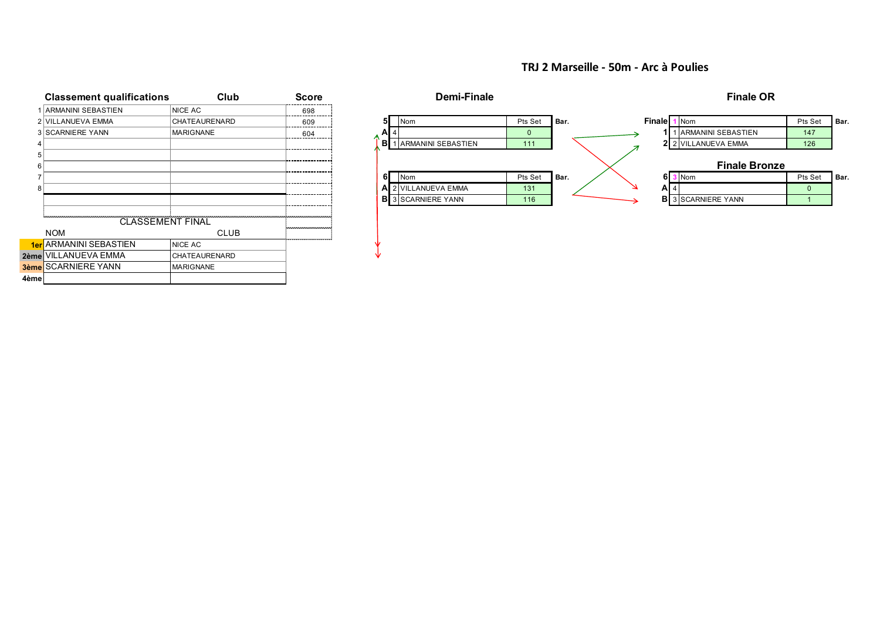#### **TRJ 2 Marseille - 50m - Arc à Poulies**

|      | <b>Classement qualifications</b> | Club             | <b>Score</b> |
|------|----------------------------------|------------------|--------------|
| 1    | <b>ARMANINI SEBASTIEN</b>        | <b>NICE AC</b>   | 698          |
| 2    | <b>VILLANUEVA EMMA</b>           | CHATEAURENARD    | 609          |
|      | <b>3 SCARNIERE YANN</b>          | <b>MARIGNANE</b> | 604          |
| 4    |                                  |                  |              |
| 5    |                                  |                  |              |
| 6    |                                  |                  |              |
| 7    |                                  |                  |              |
| 8    |                                  |                  |              |
|      |                                  |                  |              |
|      |                                  |                  |              |
|      | <b>CLASSEMENT FINAL</b>          |                  |              |
|      | <b>NOM</b>                       | <b>CLUB</b>      |              |
|      | 1er ARMANINI SEBASTIEN           | <b>NICE AC</b>   |              |
|      | 2ème VILLANUEVA EMMA             | CHATEAURENARD    |              |
|      | <b>3ème</b> SCARNIERE YANN       | <b>MARIGNANE</b> |              |
| 4ème |                                  |                  |              |

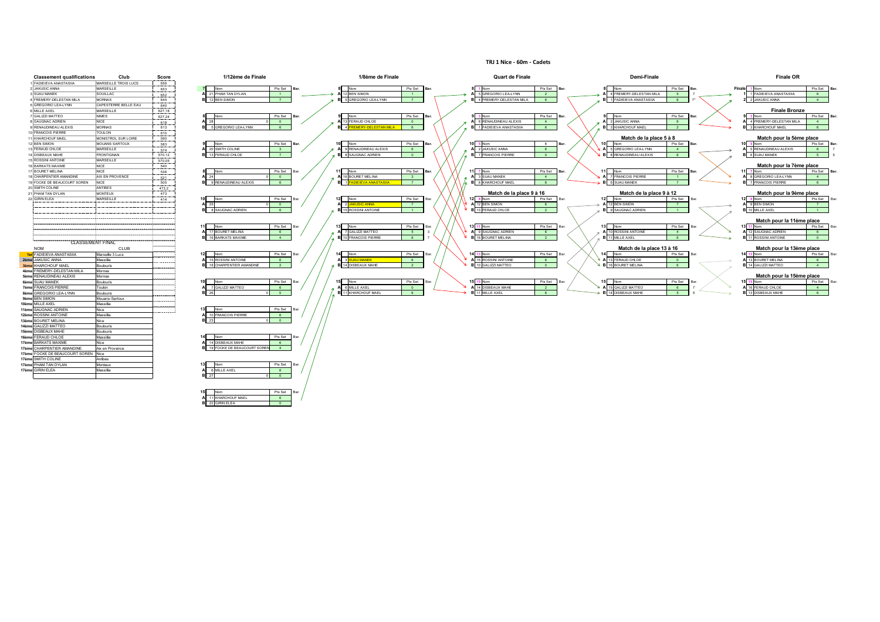| <b>Classement qualifications</b> | Club                  | Score  | 1/12ème de Finale                                                |
|----------------------------------|-----------------------|--------|------------------------------------------------------------------|
| <b>FADIEIEVA ANASTASIIA</b>      | MARSEILLE TROIS LUCS  | 656    |                                                                  |
| <b>JAKUSIC ANNA</b>              | MARSEILLE             | 653    | $\overline{7}$<br>Nom<br>Pts Set<br>Bar.                         |
| <b>SUAU MANEK</b>                | SOUILLAC              | 652    | 21 PHAM TAN DYLAN<br>A<br>$\overline{1}$                         |
| FREMERY-DELESTAN MILA            | <b>MORNAS</b>         | 644    | B<br>12 BEN SIMON<br>$\overline{7}$                              |
| <b>GREGORIO LEA-LYNN</b>         | CAPESTERRE BELLE EAU  | 640    |                                                                  |
| MILLE AXEL<br>6                  | MARSEILLE             | 627,18 |                                                                  |
| GALIZZI MATTEO<br>7              | <b>NIMES</b>          | 627,24 | я<br>Nom<br>Pts Set<br>Bar.                                      |
| SAUGNAC ADRIEN                   | <b>NICF</b>           | 618    | 28<br>$\Omega$<br>A<br>0                                         |
| RENAUDINEAU ALEXIS               | <b>MORNAS</b>         | 613    | B<br>5 GREGORIO LEA-LYNN<br>6                                    |
| <b>FRANCOIS PIERRE</b>           | <b>TOULON</b>         | 610    |                                                                  |
| KHARCHOUF MAEL                   | MONISTROL SUR LOIRE   | 590    |                                                                  |
| <b>BEN SIMON</b><br>12           | <b>MOUANS SARTOUX</b> | 583    | 9<br>Nom<br>Pts Set                                              |
| 13 FERAUD CHLOE                  | MARSEILLE             | 574    | 20 SMITH COLINE<br>Α<br>3                                        |
| <b>DISBEAUX MAHE</b><br>14       | <b>FRONTIGNAN</b>     | 570,12 | в<br>13 FERAUD CHLOE<br>$\overline{7}$                           |
| <b>ROSSINI ANTOINE</b><br>15     | MARSEILLE             | 570,05 |                                                                  |
| 16 BARKATS MAXIME                | <b>NICE</b>           | 540    |                                                                  |
| 17 BOURET MELINA                 | <b>NICE</b>           | 536    | Nom<br>8<br>Pts Set                                              |
| CHARPENTIER AMANDINE<br>18       | AIX EN PROVENCE       | 521    | $\mathbf{0}$<br>Α<br>24<br>$\ddot{\mathbf{0}}$                   |
| 19 FOCKE DE BEAUCOURT SOREN      | <b>NICE</b>           | 505    | B<br>9 RENAUDINEAU ALEXIS<br>6                                   |
| 20 SMITH COLINE                  | ANTIBES               | 473,2  |                                                                  |
| PHAM TAN DYLAN                   | <b>MONTEUX</b>        | 473    |                                                                  |
| 22 GIRIN ELEA                    | MARSEILLE             | 414    | 10<br>Nom<br>Pts Set                                             |
|                                  |                       |        | 25<br>0<br>$\circ$<br>А                                          |
|                                  |                       |        | B<br>6<br>8 SAUGNAC ADRIEN                                       |
|                                  | CLASSEMENT FINAL      |        | 17 BOURET MELINA<br>A<br>6<br>B<br><b>16 BARKATS MAXIME</b><br>4 |
| <b>NOM</b>                       | CLUB                  |        |                                                                  |
| 1er FADIEIEVA ANASTASIIA         | Marseille 3 Lucs      |        | 12<br>Nom<br>Pts Set                                             |
| <b>JAKUSIC ANNA</b><br>2ème      | Massilia              |        | 15 ROSSINI ANTOINE<br>A<br>6                                     |
| KHARCHOUF MAEL<br>3ème           | <b>Boulouris</b>      |        | B<br>18 CHARPENTIER AMANDINE<br>$\overline{2}$                   |
| FREMERY-DELESTAN MILA<br>4ème    | Mornas                |        |                                                                  |
| RENAUDINEAU ALEXIS<br>5ème       | Mornas                |        |                                                                  |
| <b>SUAU MANEK</b>                | Boulouris             |        | 10<br>Nom<br>Pts Set<br>Bar.                                     |
| <b>FRANCOIS PIERRE</b><br>7ème   | Toulon                |        | <b>GALIZZI MATTEO</b><br>A<br>$\overline{7}$<br>6                |
| <b>GREGORIO LEA-LYNN</b><br>8ème | Boulouris             |        | B<br>26<br>$\mathbf 0$<br>$\ddot{\mathbf{0}}$                    |
| <b>BEN SIMON</b>                 | Mouans-Sartoux        |        |                                                                  |
| 10ème<br>MILLE AXEL              | Massilia              |        |                                                                  |
| SAUGNAC ADRIEN<br>11ème          | Nice                  |        | 13<br>Nom<br>Pts Set<br>Bar.                                     |
| <b>ROSSINI ANTOINE</b><br>12ème  | Massilia              |        | 10 FRANCOIS PIERRE<br>A<br>6                                     |
| 13ème BOURET MELINA              | Nice                  |        | B<br>23<br>$\mathbf 0$<br>$\Omega$                               |
| <b>GALIZZI MATTEO</b><br>14ème   | Boulouris             |        |                                                                  |
| <b>DISBEAUX MAHE</b><br>15ème    | Boulouris             |        |                                                                  |
| 16ème FERAUD CHLOE               | Massilia              |        | 14<br>Bar.<br>Nom<br>Pts Set                                     |
| <b>BARKATS MAXIME</b><br>17ème   | Nice                  |        | <b>14 DISBEAUX MAHE</b><br>A<br>6                                |
| 17ème CHARPENTIER AMANDINE       | Aix en Provence       |        | 19 FOCKE DE BEAUCOURT SOREN<br>в<br>$\overline{4}$               |
| 17ème FOCKE DE BEAUCOURT SOREN   | Nice                  |        |                                                                  |
| SMITH COLINE<br>17ème            | Antibes               |        |                                                                  |
| PHAM TAN DYLAN<br>17ème          | Monteux               |        | 13<br>Nom<br>Pts Set                                             |
| 17ème GIRIN ELEA                 | Massilia              |        | 6 MILLE AXEL<br>6<br>А                                           |
|                                  |                       |        | B<br>27<br>$\mathbf 0$<br>$\circ$                                |

| 1 FADIEIEVA ANASTASIIA<br>MARSEILLE TROIS LUCS<br>656<br>Nom<br>Pts Set<br>1 Nom<br>JAKUSIC ANNA<br>Pts Set<br>1 Nom<br>Pts Set<br>Nom<br>Pts Set<br><b>Finale</b><br>MARSEILLE<br>Nom<br>Bar<br>Bar<br>653<br>A 21 PHAM TAN DYLAN<br>12 BEN SIMON<br>4 FREMERY-DELESTAN MILA<br>5 GREGORIO LEA-LYNN<br>1 FADIEIEVA ANASTASIIA<br><b>SUAU MANEK</b><br>SOUILLAC<br>$\overline{2}$<br>$-5$<br>$-1$<br>652<br>12 BEN SIMON<br>4 FREMERY-DELESTAN MILA<br>1 FADIEIEVA ANASTASIIA<br>5 GREGORIO LEA-LYNN<br>2 JAKUSIC ANNA<br>4 FREMERY-DELESTAN MILA<br><b>MORNAS</b><br>$\overline{7}$<br>-6<br>$-6$<br>644<br>S GREGORIO LEA-LYNN<br>CAPESTERRE BELLE EAU<br>640<br><b>Finale Bronze</b><br>6 MILLE AXEL<br>MARSEILLE<br>627.18<br>Pts Set<br><b>GALIZZI MATTEO</b><br><b>NIMES</b><br>Pts Set<br>Pts Set<br>3 Nom<br>Pts Set<br>3 Nom<br>627.24<br>Nom<br>Nom<br>Bar<br>Nom<br>13 FERAUD CHLOE<br>8 RENAUDINEAU ALEXIS<br>2 JAKUSIC ANNA<br>4 FREMERY-DELESTAN MILA<br><b>NICE</b><br>A 28<br>8 SAUGNAC ADRIEN<br>4<br>618<br>$\Omega$<br>$\circ$<br>6<br>1 FADIEIEVA ANASTASIIA<br>3 KHARCHOUF MAEL<br>3 KHARCHOUF MAEL<br>9 RENAUDINEAU ALEXIS<br><b>MORNAS</b><br>5 GREGORIO LEA-LYNN<br>-6<br>4 FREMERY-DELESTAN MILA<br>6<br>613<br>6<br>$\overline{2}$<br>10 FRANCOIS PIERRE<br><b>TOULON</b><br>610<br>Match de la place 5 à 8<br>MONISTROL SUR LOIRE<br>590<br>Pts Set<br>Pts Set<br>Nom<br>MOUANS SARTOUX<br>583<br>Nom<br>Pts Set<br>5 Nom<br>Nom<br>Nom<br>6<br>Bar<br>A 20 SMITH COLINE<br>2 JAKUSIC ANNA<br>5 RENAUDINEAU ALEXIS<br>9 RENAUDINEAU ALEXIS<br>5 GREGORIO LEA-LYNN<br>MARSEILLE<br>574<br>3 <sup>1</sup><br>6<br>$\overline{4}$<br>6 <sup>1</sup><br>13 FERAUD CHLOE<br>8 SAUGNAC ADRIEN<br>7 FRANCOIS PIERRE<br>8 RENAUDINEAU ALEXIS<br>6 SUAU MANEK<br><b>FRONTIGNAN</b><br>$-7$<br>$\sim$ 0<br>$\mathbf{0}$<br>6 <sup>1</sup><br>570,12<br>MARSEILLE<br>570,05<br><b>NICE</b><br>540<br>Pts Set<br>Pts Set<br>Pts Set<br>7 Nom<br><b>NICE</b><br>Nom<br>Nom<br>7 Nom<br>Pts Set<br>Nom<br>536<br>Ro:<br>Bar<br>16 BOURET MELINA<br>3 SUAU MANEK<br>7 FRANCOIS PIERRE<br>8 GREGORIO LEA-LYNN<br>AIX EN PROVENCE<br>24<br>$\overline{0}$<br>$\overline{\mathbf{3}}$<br>$\overline{4}$<br>521<br>$\blacksquare$<br>1 <b>FADIEIEVA ANASTASIIA</b><br>6 KHARCHOUF MAEL<br>6 SUAU MANEK<br><b>FRANCOIS PIERRE</b><br><b>NICE</b><br>505<br>9 RENAUDINEAU ALEXIS<br>6 <sup>1</sup><br>7 <sup>7</sup><br>6<br>$\overline{7}$<br>ANTIBES<br>473,2<br>Match de la place 9 à 16<br>Match de la place 9 à 12<br><b>MONTEUX</b><br>473<br>12<br>Nom<br>Pts Set<br>Nom<br>Pts Set<br>9 Nom<br>Nom<br>Pts Set<br>Nom<br>MARSEILLE<br>Pts Set<br>414<br>Bar<br>A 12 BEN SIMON<br>A 25<br>A 2 JAKUSIC ANNA<br>12 BEN SIMON<br>9 BEN SIMON<br>6<br>$^{\circ}$<br>$\overline{7}$<br>$\overline{7}$<br>8 SAUGNAC ADRIEN<br>15 ROSSINI ANTOINE<br><b>B</b> 13 FERAUD CHLOE<br>9 SAUGNAC ADRIEN<br>10 MILLE AXEL<br>$-1$<br>$\overline{2}$<br>-6.<br>$-1$<br>13 11 Nom<br>11 Nom<br>Pts Set<br>Nom<br>Pts Set<br>Pts Set<br>Nom<br>Pts Set<br>Nom<br>17 BOURET MELINA<br>9 SAUGNAC ADRIEN<br>10 ROSSINI ANTOINE<br>7 GALIZZI MATTEO<br>12 SAUGNAC ADRIEN<br>$-5$<br>6 <sup>5</sup><br>$\overline{4}$<br>6<br>16 BOURET MELINA<br>11 MILLE AXEL<br>ROSSINI ANTOINE<br>16 BARKATS MAXIME<br>10 FRANCOIS PIERRE<br>6 <sup>1</sup><br>$\overline{2}$<br>6<br>$\overline{a}$<br>CLASSEMENT FINAL<br>-------<br>Match de la place 13 à 16<br><b>NOM</b><br>CLUB<br><br><b>ar</b> FADIEIEVA ANASTASIIA<br>Pts Set<br>Pts Set<br>Pts Set<br>Pts Set<br>Nom<br>Nom<br>Marseille 3 Lucs<br>3 Nom<br>Bar<br>Nom<br>Nom<br>A 15 ROSSINI ANTOINE<br>A 13 FERAUD CHLOE<br>15 ROSSINI ANTOINE<br>3 SUAU MANEK<br><b>BOURET MELINA</b><br>Massilia<br><b>JAKUSIC ANNA</b><br>6<br>6<br>$\bullet$<br><b>B</b> 16 BOURET MELINA<br>14 GALIZZI MATTEO<br>18 CHARPENTIER AMANDINE<br>14 DISBEAUX MAHE<br>10 GALIZZI MATTEO<br>KHARCHOUF MAEL<br>$\overline{2}$<br>$\overline{0}$<br>6 <sup>1</sup><br><b>Boulouris</b><br>$\overline{2}$<br>.<br>FREMERY-DELESTAN MILA<br>Mornas<br><br><b>RENAUDINEAU ALEXIS</b><br>Mornas<br><br>Nom<br>SUAU MANEK<br>Boulouris<br>Nom<br>Pts Set<br>Nom<br>Pts Set<br>5 Nom<br>Pts Set<br>Nom<br>Pts Set<br>.<br>A 14 DISBEAUX MAHE<br>6 MILLE AXEL<br>15 GALIZZI MATTEO<br>7 GALIZZI MATTEO<br>16 FERAUD CHLOE<br>Toulon<br>ème FRANCOIS PIERRE<br>6 <sup>1</sup><br>$\overline{2}$<br>$\sim$ 0<br>$-6$<br>26<br>11 KHARCHOUF MAEL<br>11 MILLE AXEL<br>14 DISBEAUX MAHE<br><b>DISBEAUX MAHE</b><br>Boulouris<br>$0$ 0<br>6<br>$-5$<br>8ème GREGORIO LEA-LYNN<br>6 <sup>1</sup><br><b>BEN SIMON</b><br>Mouans-Sartoux<br>.<br>Massilia<br>e MILLE AXEL<br>Nom<br>Pts Set<br>ème SAUGNAC ADRIEN<br>Nice<br>.<br>10 FRANCOIS PIERRE<br><b>Ie ROSSINI ANTOINE</b><br>Massilia<br>6<br>eme BOURET MELINA<br>Nice<br>$0 \qquad 0$<br>23<br>Boulouris<br>GALIZZI MATTEO<br>Boulouris<br>ne DISBEAUX MAHE<br>Nom<br>Pts Set<br>Massilia<br>14 DISBEAUX MAHE<br>ème BARKATS MAXIME<br>Nice<br>-6<br>19 FOCKE DE BEAUCOURT SOREN<br>ème CHARPENTIER AMANDINE<br>Aix en Provence<br>$\Lambda$<br>eme FOCKE DE BEAUCOURT SOREN Nice<br>eme SMITH COLINE<br>Antibes<br>Nom<br>Pts Set<br>ème PHAM TAN DYLAN<br>Monteux<br>6 MILLE AXEL<br>Massilia<br>Tème GIRIN ELEA<br>6<br>ΩL<br>$\sim$ | <b>Classement qualifications</b> | Club | Score | 1/12ème de Finale | 1/8ème de Finale | Quart de Finale | Demi-Finale | <b>Finale OR</b>         |
|------------------------------------------------------------------------------------------------------------------------------------------------------------------------------------------------------------------------------------------------------------------------------------------------------------------------------------------------------------------------------------------------------------------------------------------------------------------------------------------------------------------------------------------------------------------------------------------------------------------------------------------------------------------------------------------------------------------------------------------------------------------------------------------------------------------------------------------------------------------------------------------------------------------------------------------------------------------------------------------------------------------------------------------------------------------------------------------------------------------------------------------------------------------------------------------------------------------------------------------------------------------------------------------------------------------------------------------------------------------------------------------------------------------------------------------------------------------------------------------------------------------------------------------------------------------------------------------------------------------------------------------------------------------------------------------------------------------------------------------------------------------------------------------------------------------------------------------------------------------------------------------------------------------------------------------------------------------------------------------------------------------------------------------------------------------------------------------------------------------------------------------------------------------------------------------------------------------------------------------------------------------------------------------------------------------------------------------------------------------------------------------------------------------------------------------------------------------------------------------------------------------------------------------------------------------------------------------------------------------------------------------------------------------------------------------------------------------------------------------------------------------------------------------------------------------------------------------------------------------------------------------------------------------------------------------------------------------------------------------------------------------------------------------------------------------------------------------------------------------------------------------------------------------------------------------------------------------------------------------------------------------------------------------------------------------------------------------------------------------------------------------------------------------------------------------------------------------------------------------------------------------------------------------------------------------------------------------------------------------------------------------------------------------------------------------------------------------------------------------------------------------------------------------------------------------------------------------------------------------------------------------------------------------------------------------------------------------------------------------------------------------------------------------------------------------------------------------------------------------------------------------------------------------------------------------------------------------------------------------------------------------------------------------------------------------------------------------------------------------------------------------------------------------------------------------------------------------------------------------------------------------------------------------------------------------------------------------------------------------------------------------------------------------------------------------------------------------------------------------------------------------------------------------------------------------------------------------------------------------------------------------------------------------------------------------------------------------------------------------------------------------------------------------------------------------------------------------------------------------------------------------------------------------------------------------------------------------------------------------------------------------------------------------------------|----------------------------------|------|-------|-------------------|------------------|-----------------|-------------|--------------------------|
|                                                                                                                                                                                                                                                                                                                                                                                                                                                                                                                                                                                                                                                                                                                                                                                                                                                                                                                                                                                                                                                                                                                                                                                                                                                                                                                                                                                                                                                                                                                                                                                                                                                                                                                                                                                                                                                                                                                                                                                                                                                                                                                                                                                                                                                                                                                                                                                                                                                                                                                                                                                                                                                                                                                                                                                                                                                                                                                                                                                                                                                                                                                                                                                                                                                                                                                                                                                                                                                                                                                                                                                                                                                                                                                                                                                                                                                                                                                                                                                                                                                                                                                                                                                                                                                                                                                                                                                                                                                                                                                                                                                                                                                                                                                                                                                                                                                                                                                                                                                                                                                                                                                                                                                                                                                                                                      |                                  |      |       |                   |                  |                 |             |                          |
| Pts<br>Match pour la 7ème place<br>Match pour la 9ème place<br>Match pour la 11ème place<br>Match pour la 13ème place<br>Match pour la 15ème place                                                                                                                                                                                                                                                                                                                                                                                                                                                                                                                                                                                                                                                                                                                                                                                                                                                                                                                                                                                                                                                                                                                                                                                                                                                                                                                                                                                                                                                                                                                                                                                                                                                                                                                                                                                                                                                                                                                                                                                                                                                                                                                                                                                                                                                                                                                                                                                                                                                                                                                                                                                                                                                                                                                                                                                                                                                                                                                                                                                                                                                                                                                                                                                                                                                                                                                                                                                                                                                                                                                                                                                                                                                                                                                                                                                                                                                                                                                                                                                                                                                                                                                                                                                                                                                                                                                                                                                                                                                                                                                                                                                                                                                                                                                                                                                                                                                                                                                                                                                                                                                                                                                                                   |                                  |      |       |                   |                  |                 |             | Pts                      |
|                                                                                                                                                                                                                                                                                                                                                                                                                                                                                                                                                                                                                                                                                                                                                                                                                                                                                                                                                                                                                                                                                                                                                                                                                                                                                                                                                                                                                                                                                                                                                                                                                                                                                                                                                                                                                                                                                                                                                                                                                                                                                                                                                                                                                                                                                                                                                                                                                                                                                                                                                                                                                                                                                                                                                                                                                                                                                                                                                                                                                                                                                                                                                                                                                                                                                                                                                                                                                                                                                                                                                                                                                                                                                                                                                                                                                                                                                                                                                                                                                                                                                                                                                                                                                                                                                                                                                                                                                                                                                                                                                                                                                                                                                                                                                                                                                                                                                                                                                                                                                                                                                                                                                                                                                                                                                                      |                                  |      |       |                   |                  |                 |             |                          |
|                                                                                                                                                                                                                                                                                                                                                                                                                                                                                                                                                                                                                                                                                                                                                                                                                                                                                                                                                                                                                                                                                                                                                                                                                                                                                                                                                                                                                                                                                                                                                                                                                                                                                                                                                                                                                                                                                                                                                                                                                                                                                                                                                                                                                                                                                                                                                                                                                                                                                                                                                                                                                                                                                                                                                                                                                                                                                                                                                                                                                                                                                                                                                                                                                                                                                                                                                                                                                                                                                                                                                                                                                                                                                                                                                                                                                                                                                                                                                                                                                                                                                                                                                                                                                                                                                                                                                                                                                                                                                                                                                                                                                                                                                                                                                                                                                                                                                                                                                                                                                                                                                                                                                                                                                                                                                                      |                                  |      |       |                   |                  |                 |             |                          |
|                                                                                                                                                                                                                                                                                                                                                                                                                                                                                                                                                                                                                                                                                                                                                                                                                                                                                                                                                                                                                                                                                                                                                                                                                                                                                                                                                                                                                                                                                                                                                                                                                                                                                                                                                                                                                                                                                                                                                                                                                                                                                                                                                                                                                                                                                                                                                                                                                                                                                                                                                                                                                                                                                                                                                                                                                                                                                                                                                                                                                                                                                                                                                                                                                                                                                                                                                                                                                                                                                                                                                                                                                                                                                                                                                                                                                                                                                                                                                                                                                                                                                                                                                                                                                                                                                                                                                                                                                                                                                                                                                                                                                                                                                                                                                                                                                                                                                                                                                                                                                                                                                                                                                                                                                                                                                                      |                                  |      |       |                   |                  |                 |             |                          |
|                                                                                                                                                                                                                                                                                                                                                                                                                                                                                                                                                                                                                                                                                                                                                                                                                                                                                                                                                                                                                                                                                                                                                                                                                                                                                                                                                                                                                                                                                                                                                                                                                                                                                                                                                                                                                                                                                                                                                                                                                                                                                                                                                                                                                                                                                                                                                                                                                                                                                                                                                                                                                                                                                                                                                                                                                                                                                                                                                                                                                                                                                                                                                                                                                                                                                                                                                                                                                                                                                                                                                                                                                                                                                                                                                                                                                                                                                                                                                                                                                                                                                                                                                                                                                                                                                                                                                                                                                                                                                                                                                                                                                                                                                                                                                                                                                                                                                                                                                                                                                                                                                                                                                                                                                                                                                                      |                                  |      |       |                   |                  |                 |             |                          |
|                                                                                                                                                                                                                                                                                                                                                                                                                                                                                                                                                                                                                                                                                                                                                                                                                                                                                                                                                                                                                                                                                                                                                                                                                                                                                                                                                                                                                                                                                                                                                                                                                                                                                                                                                                                                                                                                                                                                                                                                                                                                                                                                                                                                                                                                                                                                                                                                                                                                                                                                                                                                                                                                                                                                                                                                                                                                                                                                                                                                                                                                                                                                                                                                                                                                                                                                                                                                                                                                                                                                                                                                                                                                                                                                                                                                                                                                                                                                                                                                                                                                                                                                                                                                                                                                                                                                                                                                                                                                                                                                                                                                                                                                                                                                                                                                                                                                                                                                                                                                                                                                                                                                                                                                                                                                                                      |                                  |      |       |                   |                  |                 |             |                          |
|                                                                                                                                                                                                                                                                                                                                                                                                                                                                                                                                                                                                                                                                                                                                                                                                                                                                                                                                                                                                                                                                                                                                                                                                                                                                                                                                                                                                                                                                                                                                                                                                                                                                                                                                                                                                                                                                                                                                                                                                                                                                                                                                                                                                                                                                                                                                                                                                                                                                                                                                                                                                                                                                                                                                                                                                                                                                                                                                                                                                                                                                                                                                                                                                                                                                                                                                                                                                                                                                                                                                                                                                                                                                                                                                                                                                                                                                                                                                                                                                                                                                                                                                                                                                                                                                                                                                                                                                                                                                                                                                                                                                                                                                                                                                                                                                                                                                                                                                                                                                                                                                                                                                                                                                                                                                                                      |                                  |      |       |                   |                  |                 |             |                          |
|                                                                                                                                                                                                                                                                                                                                                                                                                                                                                                                                                                                                                                                                                                                                                                                                                                                                                                                                                                                                                                                                                                                                                                                                                                                                                                                                                                                                                                                                                                                                                                                                                                                                                                                                                                                                                                                                                                                                                                                                                                                                                                                                                                                                                                                                                                                                                                                                                                                                                                                                                                                                                                                                                                                                                                                                                                                                                                                                                                                                                                                                                                                                                                                                                                                                                                                                                                                                                                                                                                                                                                                                                                                                                                                                                                                                                                                                                                                                                                                                                                                                                                                                                                                                                                                                                                                                                                                                                                                                                                                                                                                                                                                                                                                                                                                                                                                                                                                                                                                                                                                                                                                                                                                                                                                                                                      |                                  |      |       |                   |                  |                 |             |                          |
|                                                                                                                                                                                                                                                                                                                                                                                                                                                                                                                                                                                                                                                                                                                                                                                                                                                                                                                                                                                                                                                                                                                                                                                                                                                                                                                                                                                                                                                                                                                                                                                                                                                                                                                                                                                                                                                                                                                                                                                                                                                                                                                                                                                                                                                                                                                                                                                                                                                                                                                                                                                                                                                                                                                                                                                                                                                                                                                                                                                                                                                                                                                                                                                                                                                                                                                                                                                                                                                                                                                                                                                                                                                                                                                                                                                                                                                                                                                                                                                                                                                                                                                                                                                                                                                                                                                                                                                                                                                                                                                                                                                                                                                                                                                                                                                                                                                                                                                                                                                                                                                                                                                                                                                                                                                                                                      |                                  |      |       |                   |                  |                 |             |                          |
|                                                                                                                                                                                                                                                                                                                                                                                                                                                                                                                                                                                                                                                                                                                                                                                                                                                                                                                                                                                                                                                                                                                                                                                                                                                                                                                                                                                                                                                                                                                                                                                                                                                                                                                                                                                                                                                                                                                                                                                                                                                                                                                                                                                                                                                                                                                                                                                                                                                                                                                                                                                                                                                                                                                                                                                                                                                                                                                                                                                                                                                                                                                                                                                                                                                                                                                                                                                                                                                                                                                                                                                                                                                                                                                                                                                                                                                                                                                                                                                                                                                                                                                                                                                                                                                                                                                                                                                                                                                                                                                                                                                                                                                                                                                                                                                                                                                                                                                                                                                                                                                                                                                                                                                                                                                                                                      | 11 KHARCHOUF MAEL                |      |       |                   |                  |                 |             | Match pour la 5ème place |
|                                                                                                                                                                                                                                                                                                                                                                                                                                                                                                                                                                                                                                                                                                                                                                                                                                                                                                                                                                                                                                                                                                                                                                                                                                                                                                                                                                                                                                                                                                                                                                                                                                                                                                                                                                                                                                                                                                                                                                                                                                                                                                                                                                                                                                                                                                                                                                                                                                                                                                                                                                                                                                                                                                                                                                                                                                                                                                                                                                                                                                                                                                                                                                                                                                                                                                                                                                                                                                                                                                                                                                                                                                                                                                                                                                                                                                                                                                                                                                                                                                                                                                                                                                                                                                                                                                                                                                                                                                                                                                                                                                                                                                                                                                                                                                                                                                                                                                                                                                                                                                                                                                                                                                                                                                                                                                      | 12 BEN SIMON                     |      |       |                   |                  |                 |             | Pts                      |
|                                                                                                                                                                                                                                                                                                                                                                                                                                                                                                                                                                                                                                                                                                                                                                                                                                                                                                                                                                                                                                                                                                                                                                                                                                                                                                                                                                                                                                                                                                                                                                                                                                                                                                                                                                                                                                                                                                                                                                                                                                                                                                                                                                                                                                                                                                                                                                                                                                                                                                                                                                                                                                                                                                                                                                                                                                                                                                                                                                                                                                                                                                                                                                                                                                                                                                                                                                                                                                                                                                                                                                                                                                                                                                                                                                                                                                                                                                                                                                                                                                                                                                                                                                                                                                                                                                                                                                                                                                                                                                                                                                                                                                                                                                                                                                                                                                                                                                                                                                                                                                                                                                                                                                                                                                                                                                      | 13 FERAUD CHLOE                  |      |       |                   |                  |                 |             |                          |
|                                                                                                                                                                                                                                                                                                                                                                                                                                                                                                                                                                                                                                                                                                                                                                                                                                                                                                                                                                                                                                                                                                                                                                                                                                                                                                                                                                                                                                                                                                                                                                                                                                                                                                                                                                                                                                                                                                                                                                                                                                                                                                                                                                                                                                                                                                                                                                                                                                                                                                                                                                                                                                                                                                                                                                                                                                                                                                                                                                                                                                                                                                                                                                                                                                                                                                                                                                                                                                                                                                                                                                                                                                                                                                                                                                                                                                                                                                                                                                                                                                                                                                                                                                                                                                                                                                                                                                                                                                                                                                                                                                                                                                                                                                                                                                                                                                                                                                                                                                                                                                                                                                                                                                                                                                                                                                      | 14 DISBEAUX MAHE                 |      |       |                   |                  |                 |             |                          |
|                                                                                                                                                                                                                                                                                                                                                                                                                                                                                                                                                                                                                                                                                                                                                                                                                                                                                                                                                                                                                                                                                                                                                                                                                                                                                                                                                                                                                                                                                                                                                                                                                                                                                                                                                                                                                                                                                                                                                                                                                                                                                                                                                                                                                                                                                                                                                                                                                                                                                                                                                                                                                                                                                                                                                                                                                                                                                                                                                                                                                                                                                                                                                                                                                                                                                                                                                                                                                                                                                                                                                                                                                                                                                                                                                                                                                                                                                                                                                                                                                                                                                                                                                                                                                                                                                                                                                                                                                                                                                                                                                                                                                                                                                                                                                                                                                                                                                                                                                                                                                                                                                                                                                                                                                                                                                                      | 15 ROSSINI ANTOINE               |      |       |                   |                  |                 |             |                          |
|                                                                                                                                                                                                                                                                                                                                                                                                                                                                                                                                                                                                                                                                                                                                                                                                                                                                                                                                                                                                                                                                                                                                                                                                                                                                                                                                                                                                                                                                                                                                                                                                                                                                                                                                                                                                                                                                                                                                                                                                                                                                                                                                                                                                                                                                                                                                                                                                                                                                                                                                                                                                                                                                                                                                                                                                                                                                                                                                                                                                                                                                                                                                                                                                                                                                                                                                                                                                                                                                                                                                                                                                                                                                                                                                                                                                                                                                                                                                                                                                                                                                                                                                                                                                                                                                                                                                                                                                                                                                                                                                                                                                                                                                                                                                                                                                                                                                                                                                                                                                                                                                                                                                                                                                                                                                                                      | 16 BARKATS MAXIME                |      |       |                   |                  |                 |             |                          |
|                                                                                                                                                                                                                                                                                                                                                                                                                                                                                                                                                                                                                                                                                                                                                                                                                                                                                                                                                                                                                                                                                                                                                                                                                                                                                                                                                                                                                                                                                                                                                                                                                                                                                                                                                                                                                                                                                                                                                                                                                                                                                                                                                                                                                                                                                                                                                                                                                                                                                                                                                                                                                                                                                                                                                                                                                                                                                                                                                                                                                                                                                                                                                                                                                                                                                                                                                                                                                                                                                                                                                                                                                                                                                                                                                                                                                                                                                                                                                                                                                                                                                                                                                                                                                                                                                                                                                                                                                                                                                                                                                                                                                                                                                                                                                                                                                                                                                                                                                                                                                                                                                                                                                                                                                                                                                                      | 17 BOURET MELINA                 |      |       |                   |                  |                 |             | Pts                      |
|                                                                                                                                                                                                                                                                                                                                                                                                                                                                                                                                                                                                                                                                                                                                                                                                                                                                                                                                                                                                                                                                                                                                                                                                                                                                                                                                                                                                                                                                                                                                                                                                                                                                                                                                                                                                                                                                                                                                                                                                                                                                                                                                                                                                                                                                                                                                                                                                                                                                                                                                                                                                                                                                                                                                                                                                                                                                                                                                                                                                                                                                                                                                                                                                                                                                                                                                                                                                                                                                                                                                                                                                                                                                                                                                                                                                                                                                                                                                                                                                                                                                                                                                                                                                                                                                                                                                                                                                                                                                                                                                                                                                                                                                                                                                                                                                                                                                                                                                                                                                                                                                                                                                                                                                                                                                                                      | 18 CHARPENTIER AMANDINE          |      |       |                   |                  |                 |             |                          |
|                                                                                                                                                                                                                                                                                                                                                                                                                                                                                                                                                                                                                                                                                                                                                                                                                                                                                                                                                                                                                                                                                                                                                                                                                                                                                                                                                                                                                                                                                                                                                                                                                                                                                                                                                                                                                                                                                                                                                                                                                                                                                                                                                                                                                                                                                                                                                                                                                                                                                                                                                                                                                                                                                                                                                                                                                                                                                                                                                                                                                                                                                                                                                                                                                                                                                                                                                                                                                                                                                                                                                                                                                                                                                                                                                                                                                                                                                                                                                                                                                                                                                                                                                                                                                                                                                                                                                                                                                                                                                                                                                                                                                                                                                                                                                                                                                                                                                                                                                                                                                                                                                                                                                                                                                                                                                                      | 19 FOCKE DE BEAUCOURT SOREN      |      |       |                   |                  |                 |             |                          |
|                                                                                                                                                                                                                                                                                                                                                                                                                                                                                                                                                                                                                                                                                                                                                                                                                                                                                                                                                                                                                                                                                                                                                                                                                                                                                                                                                                                                                                                                                                                                                                                                                                                                                                                                                                                                                                                                                                                                                                                                                                                                                                                                                                                                                                                                                                                                                                                                                                                                                                                                                                                                                                                                                                                                                                                                                                                                                                                                                                                                                                                                                                                                                                                                                                                                                                                                                                                                                                                                                                                                                                                                                                                                                                                                                                                                                                                                                                                                                                                                                                                                                                                                                                                                                                                                                                                                                                                                                                                                                                                                                                                                                                                                                                                                                                                                                                                                                                                                                                                                                                                                                                                                                                                                                                                                                                      | 20 SMITH COLINE                  |      |       |                   |                  |                 |             |                          |
|                                                                                                                                                                                                                                                                                                                                                                                                                                                                                                                                                                                                                                                                                                                                                                                                                                                                                                                                                                                                                                                                                                                                                                                                                                                                                                                                                                                                                                                                                                                                                                                                                                                                                                                                                                                                                                                                                                                                                                                                                                                                                                                                                                                                                                                                                                                                                                                                                                                                                                                                                                                                                                                                                                                                                                                                                                                                                                                                                                                                                                                                                                                                                                                                                                                                                                                                                                                                                                                                                                                                                                                                                                                                                                                                                                                                                                                                                                                                                                                                                                                                                                                                                                                                                                                                                                                                                                                                                                                                                                                                                                                                                                                                                                                                                                                                                                                                                                                                                                                                                                                                                                                                                                                                                                                                                                      | 21 PHAM TAN DYLAN                |      |       |                   |                  |                 |             |                          |
|                                                                                                                                                                                                                                                                                                                                                                                                                                                                                                                                                                                                                                                                                                                                                                                                                                                                                                                                                                                                                                                                                                                                                                                                                                                                                                                                                                                                                                                                                                                                                                                                                                                                                                                                                                                                                                                                                                                                                                                                                                                                                                                                                                                                                                                                                                                                                                                                                                                                                                                                                                                                                                                                                                                                                                                                                                                                                                                                                                                                                                                                                                                                                                                                                                                                                                                                                                                                                                                                                                                                                                                                                                                                                                                                                                                                                                                                                                                                                                                                                                                                                                                                                                                                                                                                                                                                                                                                                                                                                                                                                                                                                                                                                                                                                                                                                                                                                                                                                                                                                                                                                                                                                                                                                                                                                                      | 22 GIRIN ELEA                    |      |       |                   |                  |                 |             | Pts                      |
|                                                                                                                                                                                                                                                                                                                                                                                                                                                                                                                                                                                                                                                                                                                                                                                                                                                                                                                                                                                                                                                                                                                                                                                                                                                                                                                                                                                                                                                                                                                                                                                                                                                                                                                                                                                                                                                                                                                                                                                                                                                                                                                                                                                                                                                                                                                                                                                                                                                                                                                                                                                                                                                                                                                                                                                                                                                                                                                                                                                                                                                                                                                                                                                                                                                                                                                                                                                                                                                                                                                                                                                                                                                                                                                                                                                                                                                                                                                                                                                                                                                                                                                                                                                                                                                                                                                                                                                                                                                                                                                                                                                                                                                                                                                                                                                                                                                                                                                                                                                                                                                                                                                                                                                                                                                                                                      |                                  |      |       |                   |                  |                 |             |                          |
|                                                                                                                                                                                                                                                                                                                                                                                                                                                                                                                                                                                                                                                                                                                                                                                                                                                                                                                                                                                                                                                                                                                                                                                                                                                                                                                                                                                                                                                                                                                                                                                                                                                                                                                                                                                                                                                                                                                                                                                                                                                                                                                                                                                                                                                                                                                                                                                                                                                                                                                                                                                                                                                                                                                                                                                                                                                                                                                                                                                                                                                                                                                                                                                                                                                                                                                                                                                                                                                                                                                                                                                                                                                                                                                                                                                                                                                                                                                                                                                                                                                                                                                                                                                                                                                                                                                                                                                                                                                                                                                                                                                                                                                                                                                                                                                                                                                                                                                                                                                                                                                                                                                                                                                                                                                                                                      |                                  |      |       |                   |                  |                 |             |                          |
|                                                                                                                                                                                                                                                                                                                                                                                                                                                                                                                                                                                                                                                                                                                                                                                                                                                                                                                                                                                                                                                                                                                                                                                                                                                                                                                                                                                                                                                                                                                                                                                                                                                                                                                                                                                                                                                                                                                                                                                                                                                                                                                                                                                                                                                                                                                                                                                                                                                                                                                                                                                                                                                                                                                                                                                                                                                                                                                                                                                                                                                                                                                                                                                                                                                                                                                                                                                                                                                                                                                                                                                                                                                                                                                                                                                                                                                                                                                                                                                                                                                                                                                                                                                                                                                                                                                                                                                                                                                                                                                                                                                                                                                                                                                                                                                                                                                                                                                                                                                                                                                                                                                                                                                                                                                                                                      |                                  |      |       |                   |                  |                 |             |                          |
|                                                                                                                                                                                                                                                                                                                                                                                                                                                                                                                                                                                                                                                                                                                                                                                                                                                                                                                                                                                                                                                                                                                                                                                                                                                                                                                                                                                                                                                                                                                                                                                                                                                                                                                                                                                                                                                                                                                                                                                                                                                                                                                                                                                                                                                                                                                                                                                                                                                                                                                                                                                                                                                                                                                                                                                                                                                                                                                                                                                                                                                                                                                                                                                                                                                                                                                                                                                                                                                                                                                                                                                                                                                                                                                                                                                                                                                                                                                                                                                                                                                                                                                                                                                                                                                                                                                                                                                                                                                                                                                                                                                                                                                                                                                                                                                                                                                                                                                                                                                                                                                                                                                                                                                                                                                                                                      |                                  |      |       |                   |                  |                 |             |                          |
|                                                                                                                                                                                                                                                                                                                                                                                                                                                                                                                                                                                                                                                                                                                                                                                                                                                                                                                                                                                                                                                                                                                                                                                                                                                                                                                                                                                                                                                                                                                                                                                                                                                                                                                                                                                                                                                                                                                                                                                                                                                                                                                                                                                                                                                                                                                                                                                                                                                                                                                                                                                                                                                                                                                                                                                                                                                                                                                                                                                                                                                                                                                                                                                                                                                                                                                                                                                                                                                                                                                                                                                                                                                                                                                                                                                                                                                                                                                                                                                                                                                                                                                                                                                                                                                                                                                                                                                                                                                                                                                                                                                                                                                                                                                                                                                                                                                                                                                                                                                                                                                                                                                                                                                                                                                                                                      |                                  |      |       |                   |                  |                 |             | Pts                      |
|                                                                                                                                                                                                                                                                                                                                                                                                                                                                                                                                                                                                                                                                                                                                                                                                                                                                                                                                                                                                                                                                                                                                                                                                                                                                                                                                                                                                                                                                                                                                                                                                                                                                                                                                                                                                                                                                                                                                                                                                                                                                                                                                                                                                                                                                                                                                                                                                                                                                                                                                                                                                                                                                                                                                                                                                                                                                                                                                                                                                                                                                                                                                                                                                                                                                                                                                                                                                                                                                                                                                                                                                                                                                                                                                                                                                                                                                                                                                                                                                                                                                                                                                                                                                                                                                                                                                                                                                                                                                                                                                                                                                                                                                                                                                                                                                                                                                                                                                                                                                                                                                                                                                                                                                                                                                                                      |                                  |      |       |                   |                  |                 |             |                          |
|                                                                                                                                                                                                                                                                                                                                                                                                                                                                                                                                                                                                                                                                                                                                                                                                                                                                                                                                                                                                                                                                                                                                                                                                                                                                                                                                                                                                                                                                                                                                                                                                                                                                                                                                                                                                                                                                                                                                                                                                                                                                                                                                                                                                                                                                                                                                                                                                                                                                                                                                                                                                                                                                                                                                                                                                                                                                                                                                                                                                                                                                                                                                                                                                                                                                                                                                                                                                                                                                                                                                                                                                                                                                                                                                                                                                                                                                                                                                                                                                                                                                                                                                                                                                                                                                                                                                                                                                                                                                                                                                                                                                                                                                                                                                                                                                                                                                                                                                                                                                                                                                                                                                                                                                                                                                                                      |                                  |      |       |                   |                  |                 |             |                          |
|                                                                                                                                                                                                                                                                                                                                                                                                                                                                                                                                                                                                                                                                                                                                                                                                                                                                                                                                                                                                                                                                                                                                                                                                                                                                                                                                                                                                                                                                                                                                                                                                                                                                                                                                                                                                                                                                                                                                                                                                                                                                                                                                                                                                                                                                                                                                                                                                                                                                                                                                                                                                                                                                                                                                                                                                                                                                                                                                                                                                                                                                                                                                                                                                                                                                                                                                                                                                                                                                                                                                                                                                                                                                                                                                                                                                                                                                                                                                                                                                                                                                                                                                                                                                                                                                                                                                                                                                                                                                                                                                                                                                                                                                                                                                                                                                                                                                                                                                                                                                                                                                                                                                                                                                                                                                                                      |                                  |      |       |                   |                  |                 |             |                          |
|                                                                                                                                                                                                                                                                                                                                                                                                                                                                                                                                                                                                                                                                                                                                                                                                                                                                                                                                                                                                                                                                                                                                                                                                                                                                                                                                                                                                                                                                                                                                                                                                                                                                                                                                                                                                                                                                                                                                                                                                                                                                                                                                                                                                                                                                                                                                                                                                                                                                                                                                                                                                                                                                                                                                                                                                                                                                                                                                                                                                                                                                                                                                                                                                                                                                                                                                                                                                                                                                                                                                                                                                                                                                                                                                                                                                                                                                                                                                                                                                                                                                                                                                                                                                                                                                                                                                                                                                                                                                                                                                                                                                                                                                                                                                                                                                                                                                                                                                                                                                                                                                                                                                                                                                                                                                                                      |                                  |      |       |                   |                  |                 |             |                          |
|                                                                                                                                                                                                                                                                                                                                                                                                                                                                                                                                                                                                                                                                                                                                                                                                                                                                                                                                                                                                                                                                                                                                                                                                                                                                                                                                                                                                                                                                                                                                                                                                                                                                                                                                                                                                                                                                                                                                                                                                                                                                                                                                                                                                                                                                                                                                                                                                                                                                                                                                                                                                                                                                                                                                                                                                                                                                                                                                                                                                                                                                                                                                                                                                                                                                                                                                                                                                                                                                                                                                                                                                                                                                                                                                                                                                                                                                                                                                                                                                                                                                                                                                                                                                                                                                                                                                                                                                                                                                                                                                                                                                                                                                                                                                                                                                                                                                                                                                                                                                                                                                                                                                                                                                                                                                                                      |                                  |      |       |                   |                  |                 |             | Pts                      |
|                                                                                                                                                                                                                                                                                                                                                                                                                                                                                                                                                                                                                                                                                                                                                                                                                                                                                                                                                                                                                                                                                                                                                                                                                                                                                                                                                                                                                                                                                                                                                                                                                                                                                                                                                                                                                                                                                                                                                                                                                                                                                                                                                                                                                                                                                                                                                                                                                                                                                                                                                                                                                                                                                                                                                                                                                                                                                                                                                                                                                                                                                                                                                                                                                                                                                                                                                                                                                                                                                                                                                                                                                                                                                                                                                                                                                                                                                                                                                                                                                                                                                                                                                                                                                                                                                                                                                                                                                                                                                                                                                                                                                                                                                                                                                                                                                                                                                                                                                                                                                                                                                                                                                                                                                                                                                                      |                                  |      |       |                   |                  |                 |             |                          |
|                                                                                                                                                                                                                                                                                                                                                                                                                                                                                                                                                                                                                                                                                                                                                                                                                                                                                                                                                                                                                                                                                                                                                                                                                                                                                                                                                                                                                                                                                                                                                                                                                                                                                                                                                                                                                                                                                                                                                                                                                                                                                                                                                                                                                                                                                                                                                                                                                                                                                                                                                                                                                                                                                                                                                                                                                                                                                                                                                                                                                                                                                                                                                                                                                                                                                                                                                                                                                                                                                                                                                                                                                                                                                                                                                                                                                                                                                                                                                                                                                                                                                                                                                                                                                                                                                                                                                                                                                                                                                                                                                                                                                                                                                                                                                                                                                                                                                                                                                                                                                                                                                                                                                                                                                                                                                                      |                                  |      |       |                   |                  |                 |             |                          |
|                                                                                                                                                                                                                                                                                                                                                                                                                                                                                                                                                                                                                                                                                                                                                                                                                                                                                                                                                                                                                                                                                                                                                                                                                                                                                                                                                                                                                                                                                                                                                                                                                                                                                                                                                                                                                                                                                                                                                                                                                                                                                                                                                                                                                                                                                                                                                                                                                                                                                                                                                                                                                                                                                                                                                                                                                                                                                                                                                                                                                                                                                                                                                                                                                                                                                                                                                                                                                                                                                                                                                                                                                                                                                                                                                                                                                                                                                                                                                                                                                                                                                                                                                                                                                                                                                                                                                                                                                                                                                                                                                                                                                                                                                                                                                                                                                                                                                                                                                                                                                                                                                                                                                                                                                                                                                                      |                                  |      |       |                   |                  |                 |             |                          |
|                                                                                                                                                                                                                                                                                                                                                                                                                                                                                                                                                                                                                                                                                                                                                                                                                                                                                                                                                                                                                                                                                                                                                                                                                                                                                                                                                                                                                                                                                                                                                                                                                                                                                                                                                                                                                                                                                                                                                                                                                                                                                                                                                                                                                                                                                                                                                                                                                                                                                                                                                                                                                                                                                                                                                                                                                                                                                                                                                                                                                                                                                                                                                                                                                                                                                                                                                                                                                                                                                                                                                                                                                                                                                                                                                                                                                                                                                                                                                                                                                                                                                                                                                                                                                                                                                                                                                                                                                                                                                                                                                                                                                                                                                                                                                                                                                                                                                                                                                                                                                                                                                                                                                                                                                                                                                                      |                                  |      |       |                   |                  |                 |             |                          |
|                                                                                                                                                                                                                                                                                                                                                                                                                                                                                                                                                                                                                                                                                                                                                                                                                                                                                                                                                                                                                                                                                                                                                                                                                                                                                                                                                                                                                                                                                                                                                                                                                                                                                                                                                                                                                                                                                                                                                                                                                                                                                                                                                                                                                                                                                                                                                                                                                                                                                                                                                                                                                                                                                                                                                                                                                                                                                                                                                                                                                                                                                                                                                                                                                                                                                                                                                                                                                                                                                                                                                                                                                                                                                                                                                                                                                                                                                                                                                                                                                                                                                                                                                                                                                                                                                                                                                                                                                                                                                                                                                                                                                                                                                                                                                                                                                                                                                                                                                                                                                                                                                                                                                                                                                                                                                                      |                                  |      |       |                   |                  |                 |             | Pts                      |
|                                                                                                                                                                                                                                                                                                                                                                                                                                                                                                                                                                                                                                                                                                                                                                                                                                                                                                                                                                                                                                                                                                                                                                                                                                                                                                                                                                                                                                                                                                                                                                                                                                                                                                                                                                                                                                                                                                                                                                                                                                                                                                                                                                                                                                                                                                                                                                                                                                                                                                                                                                                                                                                                                                                                                                                                                                                                                                                                                                                                                                                                                                                                                                                                                                                                                                                                                                                                                                                                                                                                                                                                                                                                                                                                                                                                                                                                                                                                                                                                                                                                                                                                                                                                                                                                                                                                                                                                                                                                                                                                                                                                                                                                                                                                                                                                                                                                                                                                                                                                                                                                                                                                                                                                                                                                                                      |                                  |      |       |                   |                  |                 |             | $\overline{\phantom{a}}$ |
|                                                                                                                                                                                                                                                                                                                                                                                                                                                                                                                                                                                                                                                                                                                                                                                                                                                                                                                                                                                                                                                                                                                                                                                                                                                                                                                                                                                                                                                                                                                                                                                                                                                                                                                                                                                                                                                                                                                                                                                                                                                                                                                                                                                                                                                                                                                                                                                                                                                                                                                                                                                                                                                                                                                                                                                                                                                                                                                                                                                                                                                                                                                                                                                                                                                                                                                                                                                                                                                                                                                                                                                                                                                                                                                                                                                                                                                                                                                                                                                                                                                                                                                                                                                                                                                                                                                                                                                                                                                                                                                                                                                                                                                                                                                                                                                                                                                                                                                                                                                                                                                                                                                                                                                                                                                                                                      |                                  |      |       |                   |                  |                 |             |                          |
|                                                                                                                                                                                                                                                                                                                                                                                                                                                                                                                                                                                                                                                                                                                                                                                                                                                                                                                                                                                                                                                                                                                                                                                                                                                                                                                                                                                                                                                                                                                                                                                                                                                                                                                                                                                                                                                                                                                                                                                                                                                                                                                                                                                                                                                                                                                                                                                                                                                                                                                                                                                                                                                                                                                                                                                                                                                                                                                                                                                                                                                                                                                                                                                                                                                                                                                                                                                                                                                                                                                                                                                                                                                                                                                                                                                                                                                                                                                                                                                                                                                                                                                                                                                                                                                                                                                                                                                                                                                                                                                                                                                                                                                                                                                                                                                                                                                                                                                                                                                                                                                                                                                                                                                                                                                                                                      |                                  |      |       |                   |                  |                 |             |                          |
|                                                                                                                                                                                                                                                                                                                                                                                                                                                                                                                                                                                                                                                                                                                                                                                                                                                                                                                                                                                                                                                                                                                                                                                                                                                                                                                                                                                                                                                                                                                                                                                                                                                                                                                                                                                                                                                                                                                                                                                                                                                                                                                                                                                                                                                                                                                                                                                                                                                                                                                                                                                                                                                                                                                                                                                                                                                                                                                                                                                                                                                                                                                                                                                                                                                                                                                                                                                                                                                                                                                                                                                                                                                                                                                                                                                                                                                                                                                                                                                                                                                                                                                                                                                                                                                                                                                                                                                                                                                                                                                                                                                                                                                                                                                                                                                                                                                                                                                                                                                                                                                                                                                                                                                                                                                                                                      |                                  |      |       |                   |                  |                 |             |                          |
|                                                                                                                                                                                                                                                                                                                                                                                                                                                                                                                                                                                                                                                                                                                                                                                                                                                                                                                                                                                                                                                                                                                                                                                                                                                                                                                                                                                                                                                                                                                                                                                                                                                                                                                                                                                                                                                                                                                                                                                                                                                                                                                                                                                                                                                                                                                                                                                                                                                                                                                                                                                                                                                                                                                                                                                                                                                                                                                                                                                                                                                                                                                                                                                                                                                                                                                                                                                                                                                                                                                                                                                                                                                                                                                                                                                                                                                                                                                                                                                                                                                                                                                                                                                                                                                                                                                                                                                                                                                                                                                                                                                                                                                                                                                                                                                                                                                                                                                                                                                                                                                                                                                                                                                                                                                                                                      |                                  |      |       |                   |                  |                 |             |                          |
|                                                                                                                                                                                                                                                                                                                                                                                                                                                                                                                                                                                                                                                                                                                                                                                                                                                                                                                                                                                                                                                                                                                                                                                                                                                                                                                                                                                                                                                                                                                                                                                                                                                                                                                                                                                                                                                                                                                                                                                                                                                                                                                                                                                                                                                                                                                                                                                                                                                                                                                                                                                                                                                                                                                                                                                                                                                                                                                                                                                                                                                                                                                                                                                                                                                                                                                                                                                                                                                                                                                                                                                                                                                                                                                                                                                                                                                                                                                                                                                                                                                                                                                                                                                                                                                                                                                                                                                                                                                                                                                                                                                                                                                                                                                                                                                                                                                                                                                                                                                                                                                                                                                                                                                                                                                                                                      |                                  |      |       |                   |                  |                 |             |                          |
|                                                                                                                                                                                                                                                                                                                                                                                                                                                                                                                                                                                                                                                                                                                                                                                                                                                                                                                                                                                                                                                                                                                                                                                                                                                                                                                                                                                                                                                                                                                                                                                                                                                                                                                                                                                                                                                                                                                                                                                                                                                                                                                                                                                                                                                                                                                                                                                                                                                                                                                                                                                                                                                                                                                                                                                                                                                                                                                                                                                                                                                                                                                                                                                                                                                                                                                                                                                                                                                                                                                                                                                                                                                                                                                                                                                                                                                                                                                                                                                                                                                                                                                                                                                                                                                                                                                                                                                                                                                                                                                                                                                                                                                                                                                                                                                                                                                                                                                                                                                                                                                                                                                                                                                                                                                                                                      |                                  |      |       |                   |                  |                 |             |                          |
|                                                                                                                                                                                                                                                                                                                                                                                                                                                                                                                                                                                                                                                                                                                                                                                                                                                                                                                                                                                                                                                                                                                                                                                                                                                                                                                                                                                                                                                                                                                                                                                                                                                                                                                                                                                                                                                                                                                                                                                                                                                                                                                                                                                                                                                                                                                                                                                                                                                                                                                                                                                                                                                                                                                                                                                                                                                                                                                                                                                                                                                                                                                                                                                                                                                                                                                                                                                                                                                                                                                                                                                                                                                                                                                                                                                                                                                                                                                                                                                                                                                                                                                                                                                                                                                                                                                                                                                                                                                                                                                                                                                                                                                                                                                                                                                                                                                                                                                                                                                                                                                                                                                                                                                                                                                                                                      |                                  |      |       |                   |                  |                 |             |                          |
|                                                                                                                                                                                                                                                                                                                                                                                                                                                                                                                                                                                                                                                                                                                                                                                                                                                                                                                                                                                                                                                                                                                                                                                                                                                                                                                                                                                                                                                                                                                                                                                                                                                                                                                                                                                                                                                                                                                                                                                                                                                                                                                                                                                                                                                                                                                                                                                                                                                                                                                                                                                                                                                                                                                                                                                                                                                                                                                                                                                                                                                                                                                                                                                                                                                                                                                                                                                                                                                                                                                                                                                                                                                                                                                                                                                                                                                                                                                                                                                                                                                                                                                                                                                                                                                                                                                                                                                                                                                                                                                                                                                                                                                                                                                                                                                                                                                                                                                                                                                                                                                                                                                                                                                                                                                                                                      |                                  |      |       |                   |                  |                 |             |                          |
|                                                                                                                                                                                                                                                                                                                                                                                                                                                                                                                                                                                                                                                                                                                                                                                                                                                                                                                                                                                                                                                                                                                                                                                                                                                                                                                                                                                                                                                                                                                                                                                                                                                                                                                                                                                                                                                                                                                                                                                                                                                                                                                                                                                                                                                                                                                                                                                                                                                                                                                                                                                                                                                                                                                                                                                                                                                                                                                                                                                                                                                                                                                                                                                                                                                                                                                                                                                                                                                                                                                                                                                                                                                                                                                                                                                                                                                                                                                                                                                                                                                                                                                                                                                                                                                                                                                                                                                                                                                                                                                                                                                                                                                                                                                                                                                                                                                                                                                                                                                                                                                                                                                                                                                                                                                                                                      | 6ème FERAUD CHLOE                |      |       |                   |                  |                 |             |                          |
|                                                                                                                                                                                                                                                                                                                                                                                                                                                                                                                                                                                                                                                                                                                                                                                                                                                                                                                                                                                                                                                                                                                                                                                                                                                                                                                                                                                                                                                                                                                                                                                                                                                                                                                                                                                                                                                                                                                                                                                                                                                                                                                                                                                                                                                                                                                                                                                                                                                                                                                                                                                                                                                                                                                                                                                                                                                                                                                                                                                                                                                                                                                                                                                                                                                                                                                                                                                                                                                                                                                                                                                                                                                                                                                                                                                                                                                                                                                                                                                                                                                                                                                                                                                                                                                                                                                                                                                                                                                                                                                                                                                                                                                                                                                                                                                                                                                                                                                                                                                                                                                                                                                                                                                                                                                                                                      |                                  |      |       |                   |                  |                 |             |                          |
|                                                                                                                                                                                                                                                                                                                                                                                                                                                                                                                                                                                                                                                                                                                                                                                                                                                                                                                                                                                                                                                                                                                                                                                                                                                                                                                                                                                                                                                                                                                                                                                                                                                                                                                                                                                                                                                                                                                                                                                                                                                                                                                                                                                                                                                                                                                                                                                                                                                                                                                                                                                                                                                                                                                                                                                                                                                                                                                                                                                                                                                                                                                                                                                                                                                                                                                                                                                                                                                                                                                                                                                                                                                                                                                                                                                                                                                                                                                                                                                                                                                                                                                                                                                                                                                                                                                                                                                                                                                                                                                                                                                                                                                                                                                                                                                                                                                                                                                                                                                                                                                                                                                                                                                                                                                                                                      |                                  |      |       |                   |                  |                 |             |                          |
|                                                                                                                                                                                                                                                                                                                                                                                                                                                                                                                                                                                                                                                                                                                                                                                                                                                                                                                                                                                                                                                                                                                                                                                                                                                                                                                                                                                                                                                                                                                                                                                                                                                                                                                                                                                                                                                                                                                                                                                                                                                                                                                                                                                                                                                                                                                                                                                                                                                                                                                                                                                                                                                                                                                                                                                                                                                                                                                                                                                                                                                                                                                                                                                                                                                                                                                                                                                                                                                                                                                                                                                                                                                                                                                                                                                                                                                                                                                                                                                                                                                                                                                                                                                                                                                                                                                                                                                                                                                                                                                                                                                                                                                                                                                                                                                                                                                                                                                                                                                                                                                                                                                                                                                                                                                                                                      |                                  |      |       |                   |                  |                 |             |                          |
|                                                                                                                                                                                                                                                                                                                                                                                                                                                                                                                                                                                                                                                                                                                                                                                                                                                                                                                                                                                                                                                                                                                                                                                                                                                                                                                                                                                                                                                                                                                                                                                                                                                                                                                                                                                                                                                                                                                                                                                                                                                                                                                                                                                                                                                                                                                                                                                                                                                                                                                                                                                                                                                                                                                                                                                                                                                                                                                                                                                                                                                                                                                                                                                                                                                                                                                                                                                                                                                                                                                                                                                                                                                                                                                                                                                                                                                                                                                                                                                                                                                                                                                                                                                                                                                                                                                                                                                                                                                                                                                                                                                                                                                                                                                                                                                                                                                                                                                                                                                                                                                                                                                                                                                                                                                                                                      |                                  |      |       |                   |                  |                 |             |                          |
|                                                                                                                                                                                                                                                                                                                                                                                                                                                                                                                                                                                                                                                                                                                                                                                                                                                                                                                                                                                                                                                                                                                                                                                                                                                                                                                                                                                                                                                                                                                                                                                                                                                                                                                                                                                                                                                                                                                                                                                                                                                                                                                                                                                                                                                                                                                                                                                                                                                                                                                                                                                                                                                                                                                                                                                                                                                                                                                                                                                                                                                                                                                                                                                                                                                                                                                                                                                                                                                                                                                                                                                                                                                                                                                                                                                                                                                                                                                                                                                                                                                                                                                                                                                                                                                                                                                                                                                                                                                                                                                                                                                                                                                                                                                                                                                                                                                                                                                                                                                                                                                                                                                                                                                                                                                                                                      |                                  |      |       |                   |                  |                 |             |                          |
|                                                                                                                                                                                                                                                                                                                                                                                                                                                                                                                                                                                                                                                                                                                                                                                                                                                                                                                                                                                                                                                                                                                                                                                                                                                                                                                                                                                                                                                                                                                                                                                                                                                                                                                                                                                                                                                                                                                                                                                                                                                                                                                                                                                                                                                                                                                                                                                                                                                                                                                                                                                                                                                                                                                                                                                                                                                                                                                                                                                                                                                                                                                                                                                                                                                                                                                                                                                                                                                                                                                                                                                                                                                                                                                                                                                                                                                                                                                                                                                                                                                                                                                                                                                                                                                                                                                                                                                                                                                                                                                                                                                                                                                                                                                                                                                                                                                                                                                                                                                                                                                                                                                                                                                                                                                                                                      |                                  |      |       |                   |                  |                 |             |                          |
|                                                                                                                                                                                                                                                                                                                                                                                                                                                                                                                                                                                                                                                                                                                                                                                                                                                                                                                                                                                                                                                                                                                                                                                                                                                                                                                                                                                                                                                                                                                                                                                                                                                                                                                                                                                                                                                                                                                                                                                                                                                                                                                                                                                                                                                                                                                                                                                                                                                                                                                                                                                                                                                                                                                                                                                                                                                                                                                                                                                                                                                                                                                                                                                                                                                                                                                                                                                                                                                                                                                                                                                                                                                                                                                                                                                                                                                                                                                                                                                                                                                                                                                                                                                                                                                                                                                                                                                                                                                                                                                                                                                                                                                                                                                                                                                                                                                                                                                                                                                                                                                                                                                                                                                                                                                                                                      |                                  |      |       |                   |                  |                 |             |                          |

**15** Nom Pts Set Bar.<br>**A** 11 KHARCHOUF MAEL **6** 

**B** 22 GIRIN ELEA 0

**A** 11 KHARCHOUF MAEL

**TRJ 1 Nice - 60m - Cadets**

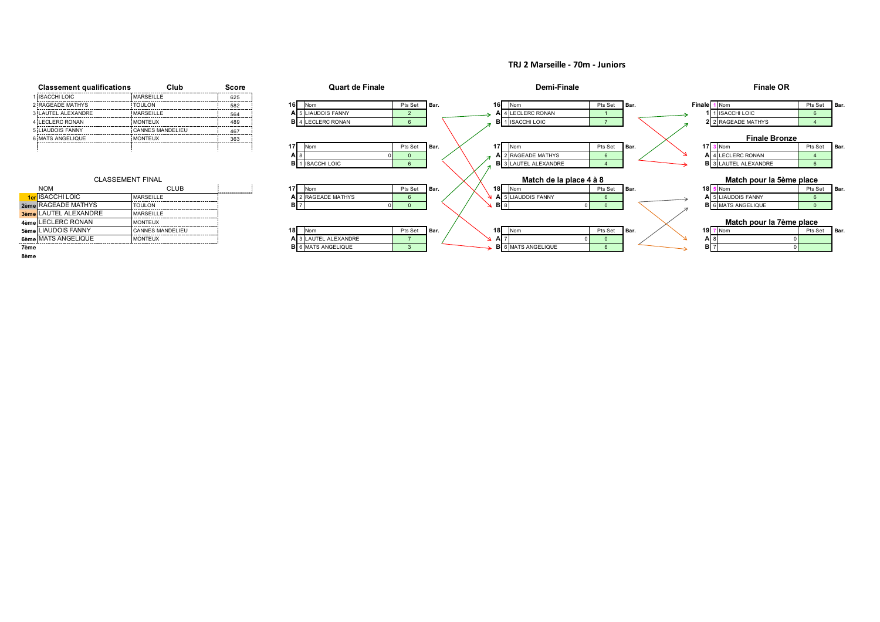**TRJ 2 Marseille - 70m - Juniors**



**8ème**